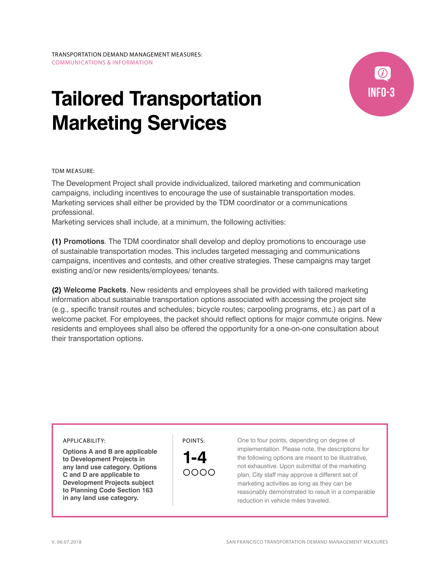# **Tailored Transportation Marketing Services**



TDM MEASURE:

The Development Project shall provide individualized, tailored marketing and communication campaigns, including incentives to encourage the use of sustainable transportation modes. Marketing services shall either be provided by the TDM coordinator or a communications professional.

Marketing services shall include, at a minimum, the following activities:

**(1) Promotions**. The TDM coordinator shall develop and deploy promotions to encourage use of sustainable transportation modes. This includes targeted messaging and communications campaigns, incentives and contests, and other creative strategies. These campaigns may target existing and/or new residents/employees/ tenants.

**(2) Welcome Packets**. New residents and employees shall be provided with tailored marketing information about sustainable transportation options associated with accessing the project site (e.g., specific transit routes and schedules; bicycle routes; carpooling programs, etc.) as part of a welcome packet. For employees, the packet should reflect options for major commute origins. New residents and employees shall also be offered the opportunity for a one-on-one consultation about their transportation options.

#### APPLICABILITY:

**Options A and B are applicable to Development Projects in any land use category. Options C and D are applicable to Development Projects subject to Planning Code Section 163 in any land use category.**

POINTS:

**1-4** ററററ One to four points, depending on degree of implementation. Please note, the descriptions for the following options are meant to be illustrative, not exhaustive. Upon submittal of the marketing plan, City staff may approve a different set of marketing activities as long as they can be reasonably demonstrated to result in a comparable reduction in vehicle miles traveled.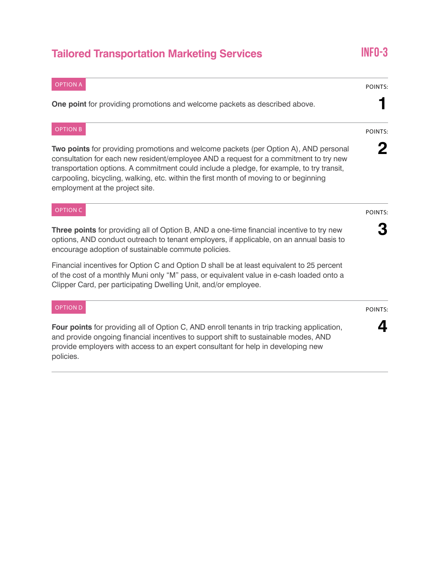## **Tailored Transportation Marketing Services INFO-3**

### OPTION A **One point** for providing promotions and welcome packets as described above. POINTS: **1** OPTION B **Two points** for providing promotions and welcome packets (per Option A), AND personal consultation for each new resident/employee AND a request for a commitment to try new transportation options. A commitment could include a pledge, for example, to try transit, carpooling, bicycling, walking, etc. within the first month of moving to or beginning employment at the project site. POINTS: **2** OPTION C **Three points** for providing all of Option B, AND a one-time financial incentive to try new options, AND conduct outreach to tenant employers, if applicable, on an annual basis to encourage adoption of sustainable commute policies. Financial incentives for Option C and Option D shall be at least equivalent to 25 percent of the cost of a monthly Muni only "M" pass, or equivalent value in e-cash loaded onto a Clipper Card, per participating Dwelling Unit, and/or employee. POINTS: **3** OPTION D **Four points** for providing all of Option C, AND enroll tenants in trip tracking application, and provide ongoing financial incentives to support shift to sustainable modes, AND provide employers with access to an expert consultant for help in developing new policies. POINTS: **4**